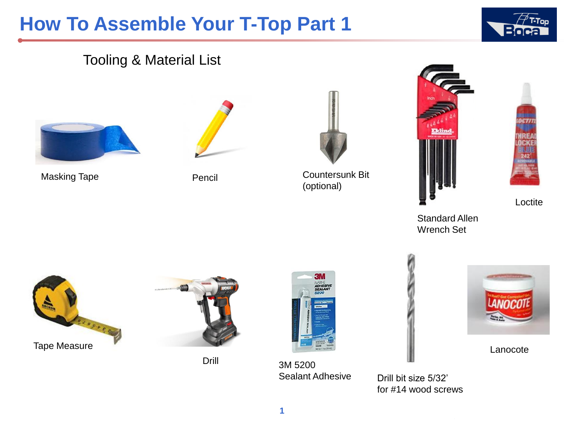

### Tooling & Material List



Masking Tape **Pencil** 





Countersunk Bit (optional)





Loctite

Standard Allen Wrench Set





Drill



3M 5200 Sealant Adhesive



Lanocote

Drill bit size 5/32' for #14 wood screws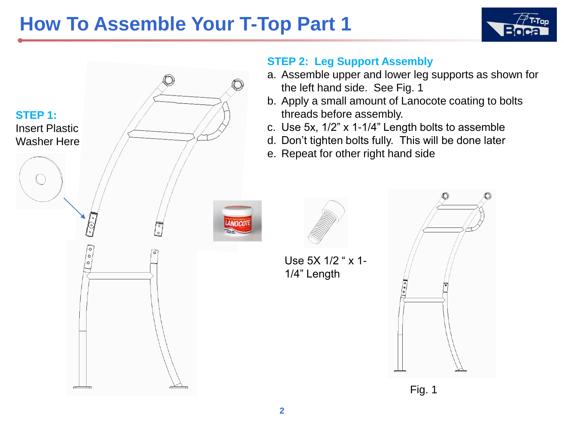



#### **STEP 2: Leg Support Assembly**

- a. Assemble upper and lower leg supports as shown for the left hand side. See Fig. 1
- b. Apply a small amount of Lanocote coating to bolts threads before assembly.
- c. Use 5x, 1/2" x 1-1/4" Length bolts to assemble
- d. Don't tighten bolts fully. This will be done later
- e. Repeat for other right hand side



Use 5X 1/2 " x 1- 1/4" Length



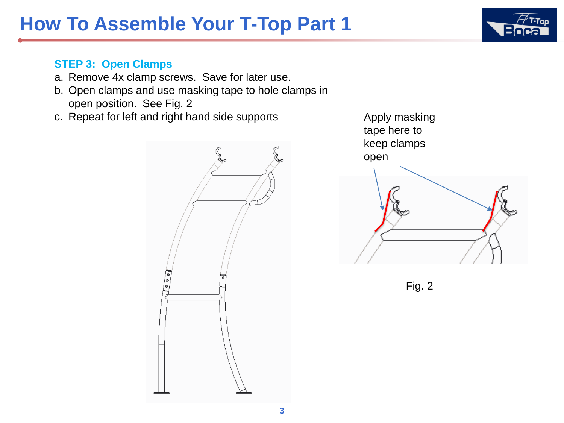#### **STEP 3: Open Clamps**

- a. Remove 4x clamp screws. Save for later use.
- b. Open clamps and use masking tape to hole clamps in open position. See Fig. 2
- c. Repeat for left and right hand side supports





Fig. 2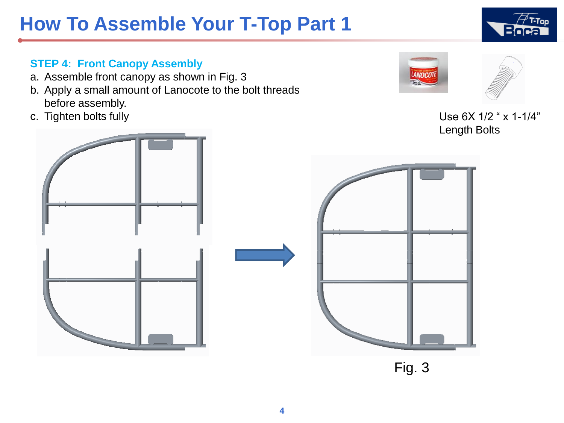**4**

#### **STEP 4: Front Canopy Assembly**

- a. Assemble front canopy as shown in Fig. 3
- b. Apply a small amount of Lanocote to the bolt threads before assembly.
- 





c. Tighten bolts fully  $\overline{U}$  be 6X 1/2 " x 1-1/4" Length Bolts

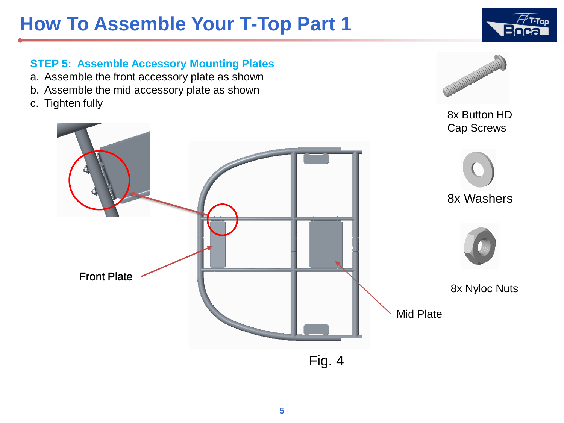

8x Button HD

**WARRANTEE** 

#### **STEP 5: Assemble Accessory Mounting Plates**

- a. Assemble the front accessory plate as shown
- b. Assemble the mid accessory plate as shown
- c. Tighten fully



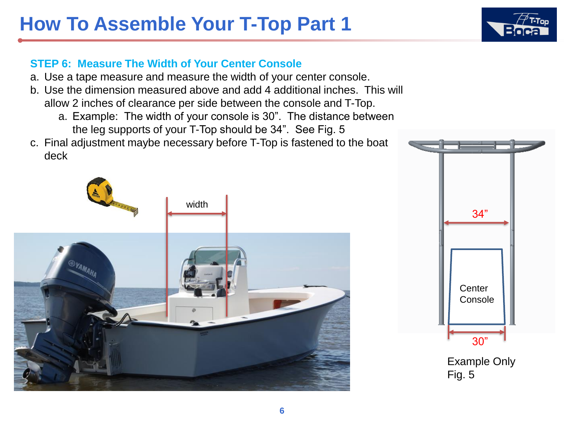### **STEP 6: Measure The Width of Your Center Console**

- a. Use a tape measure and measure the width of your center console.
- b. Use the dimension measured above and add 4 additional inches. This will allow 2 inches of clearance per side between the console and T-Top.
	- a. Example: The width of your console is 30". The distance between the leg supports of your T-Top should be 34". See Fig. 5
- c. Final adjustment maybe necessary before T-Top is fastened to the boat deck





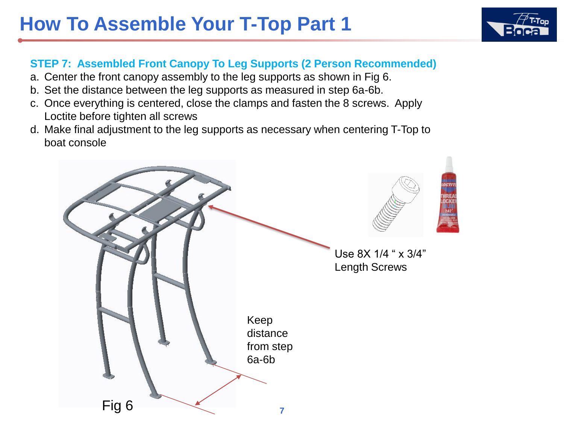#### **STEP 7: Assembled Front Canopy To Leg Supports (2 Person Recommended)**

- a. Center the front canopy assembly to the leg supports as shown in Fig 6.
- b. Set the distance between the leg supports as measured in step 6a-6b.
- c. Once everything is centered, close the clamps and fasten the 8 screws. Apply Loctite before tighten all screws
- d. Make final adjustment to the leg supports as necessary when centering T-Top to boat console



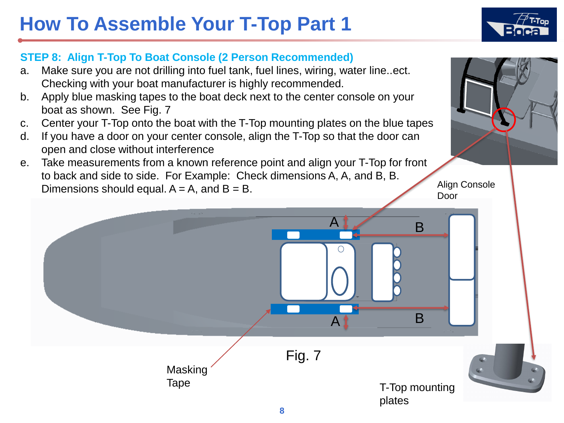

#### **STEP 8: Align T-Top To Boat Console (2 Person Recommended)**

- a. Make sure you are not drilling into fuel tank, fuel lines, wiring, water line..ect. Checking with your boat manufacturer is highly recommended.
- b. Apply blue masking tapes to the boat deck next to the center console on your boat as shown. See Fig. 7
- c. Center your T-Top onto the boat with the T-Top mounting plates on the blue tapes
- d. If you have a door on your center console, align the T-Top so that the door can open and close without interference
- e. Take measurements from a known reference point and align your T-Top for front to back and side to side. For Example: Check dimensions A, A, and B, B. Dimensions should equal.  $A = A$ , and  $B = B$ .

Align Console Door

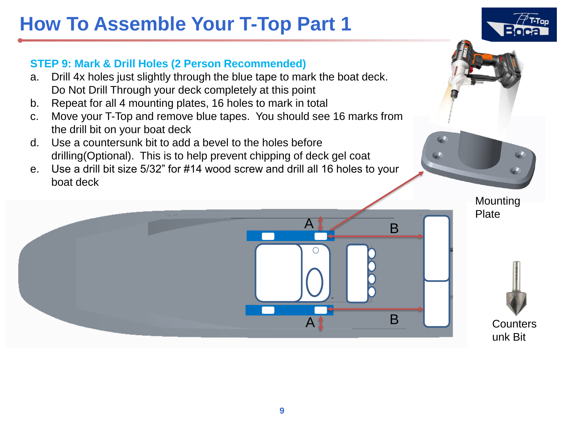

#### **STEP 9: Mark & Drill Holes (2 Person Recommended)**

- a. Drill 4x holes just slightly through the blue tape to mark the boat deck. Do Not Drill Through your deck completely at this point
- b. Repeat for all 4 mounting plates, 16 holes to mark in total
- c. Move your T-Top and remove blue tapes. You should see 16 marks from the drill bit on your boat deck
- d. Use a countersunk bit to add a bevel to the holes before drilling(Optional). This is to help prevent chipping of deck gel coat
- e. Use a drill bit size 5/32" for #14 wood screw and drill all 16 holes to your boat deck



B

A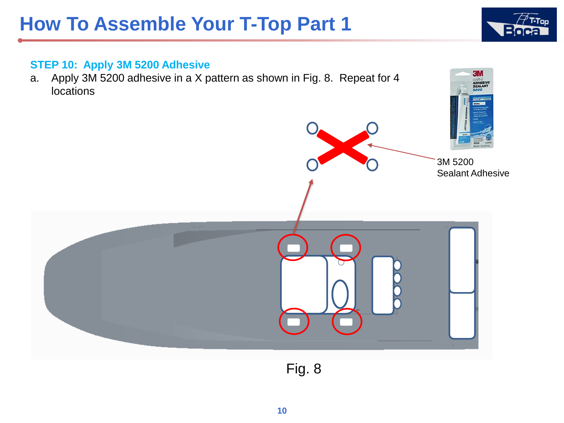

CV.

#### **STEP 10: Apply 3M 5200 Adhesive**

a. Apply 3M 5200 adhesive in a X pattern as shown in Fig. 8. Repeat for 4 **locations** 



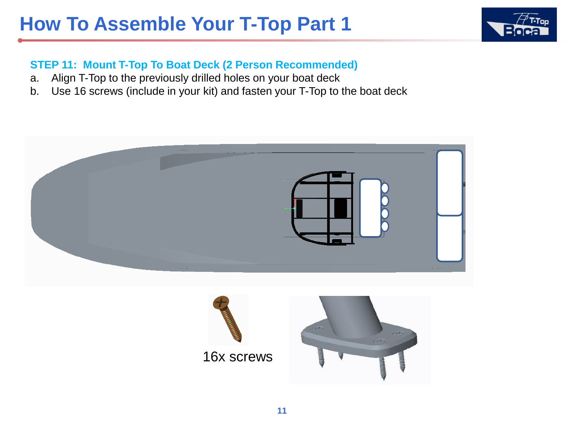

#### **STEP 11: Mount T-Top To Boat Deck (2 Person Recommended)**

- a. Align T-Top to the previously drilled holes on your boat deck
- b. Use 16 screws (include in your kit) and fasten your T-Top to the boat deck



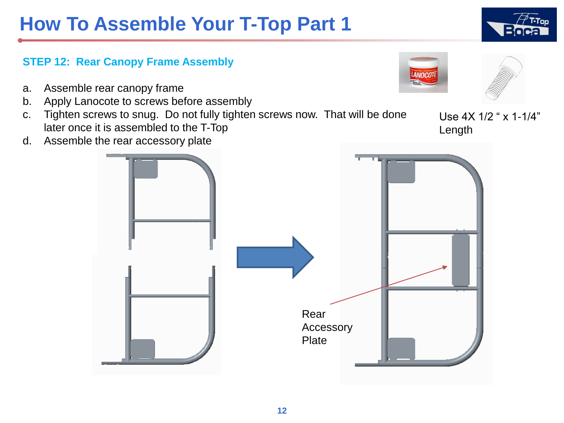#### **STEP 12: Rear Canopy Frame Assembly**

- a. Assemble rear canopy frame
- b. Apply Lanocote to screws before assembly
- c. Tighten screws to snug. Do not fully tighten screws now. That will be done later once it is assembled to the T-Top
- d. Assemble the rear accessory plate



Use 4X 1/2 " x 1-1/4" Length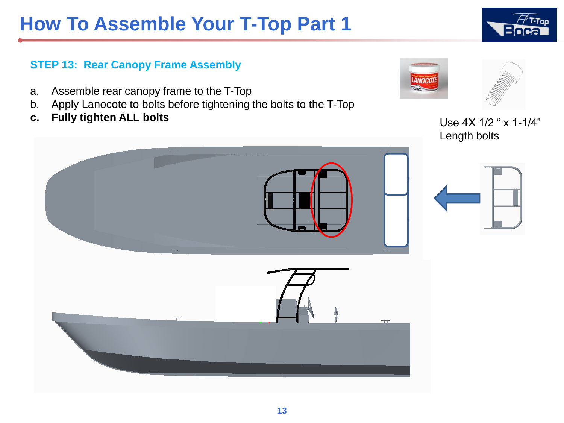

#### **STEP 13: Rear Canopy Frame Assembly**

- a. Assemble rear canopy frame to the T-Top
- b. Apply Lanocote to bolts before tightening the bolts to the T-Top
- **c.** Fully tighten ALL bolts **Example 20** Use 4X 1/2 " x 1-1/4"



Length bolts

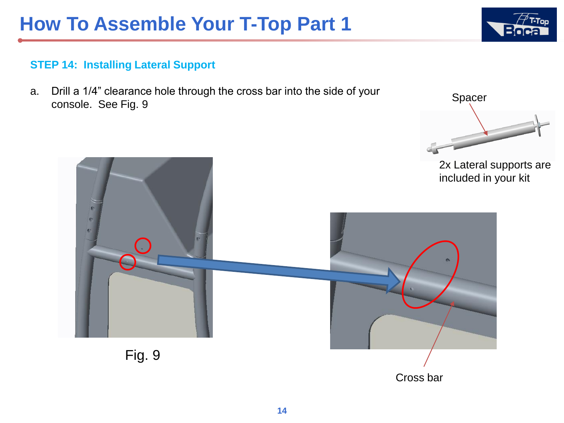Spacer

#### **STEP 14: Installing Lateral Support**

a. Drill a 1/4" clearance hole through the cross bar into the side of your console. See Fig. 9



Cross bar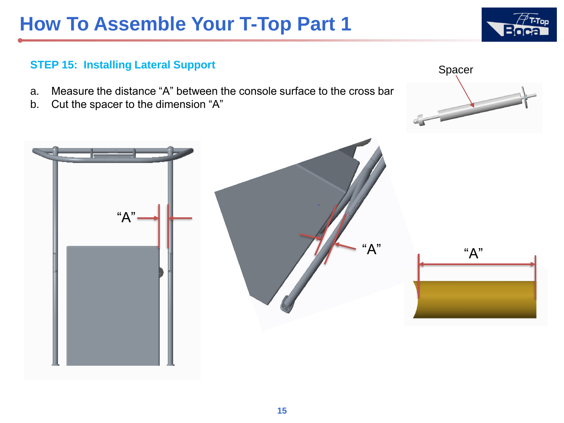# **STEP 15: Installing Lateral Support**

- a. Measure the distance "A" between the console surface to the cross bar
- b. Cut the spacer to the dimension "A"